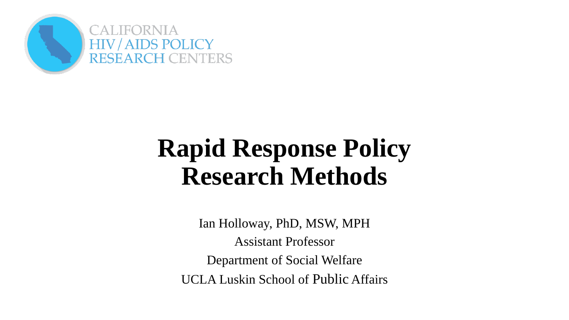

## **Rapid Response Policy Research Methods**

Ian Holloway, PhD, MSW, MPH Assistant Professor Department of Social Welfare UCLA Luskin School of Public Affairs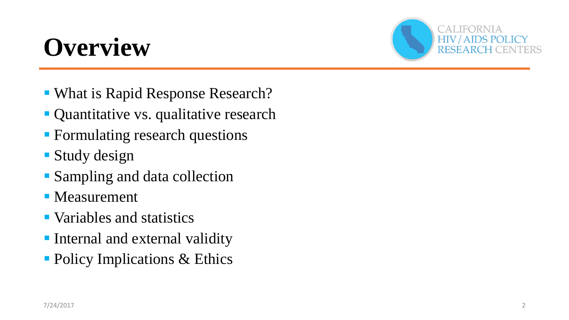# **Overview**



- What is Rapid Response Research?
- Quantitative vs. qualitative research
- Formulating research questions
- Study design
- Sampling and data collection
- **Neasurement**
- Variables and statistics
- **Internal and external validity**
- Policy Implications & Ethics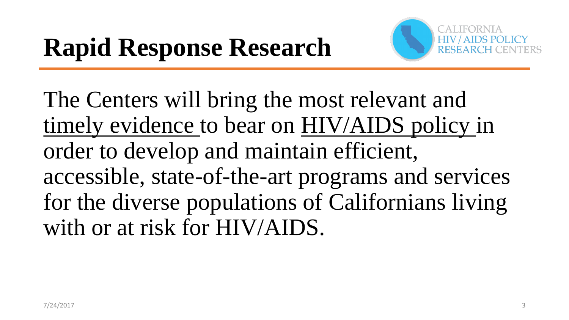

The Centers will bring the most relevant and timely evidence to bear on HIV/AIDS policy in order to develop and maintain efficient, accessible, state-of-the-art programs and services for the diverse populations of Californians living with or at risk for HIV/AIDS.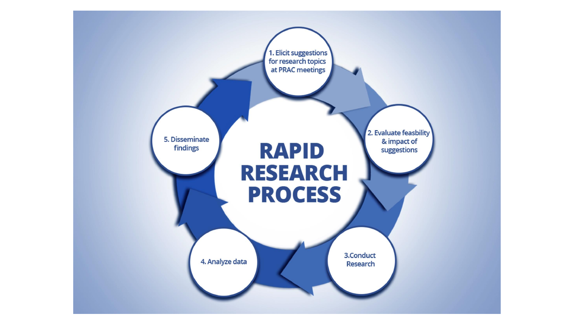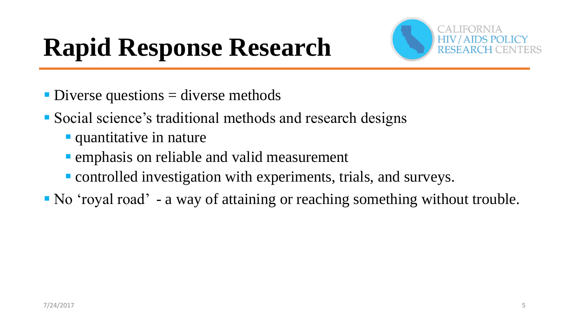

- $\blacksquare$  Diverse questions  $=$  diverse methods
- Social science's traditional methods and research designs
	- **quantitative in nature**
	- **Example 5 and 5 rand valid measurement**
	- **Controlled investigation with experiments, trials, and surveys.**
- No 'royal road' a way of attaining or reaching something without trouble.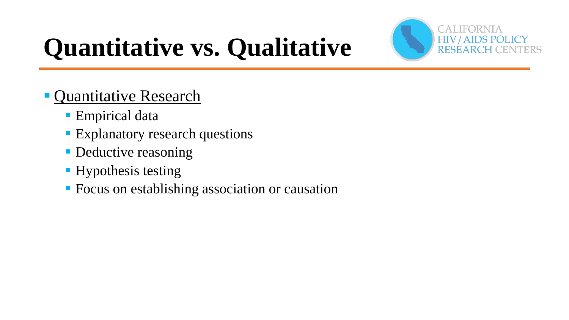

# **Quantitative vs. Qualitative**

- **Quantitative Research** 
	- Empirical data
	- **Explanatory research questions**
	- Deductive reasoning
	- **Hypothesis testing**
	- **Focus on establishing association or causation**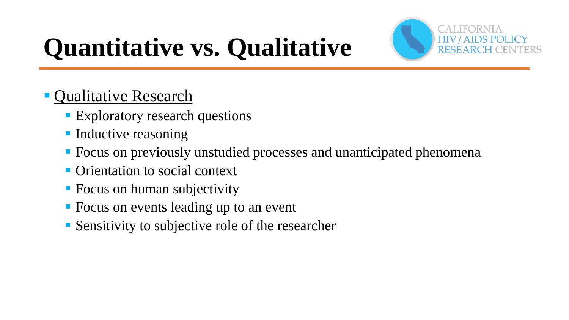

# **Quantitative vs. Qualitative**

### **Qualitative Research**

- **Exploratory research questions**
- **Inductive reasoning**
- Focus on previously unstudied processes and unanticipated phenomena
- **Orientation to social context**
- **Focus on human subjectivity**
- **Focus on events leading up to an event**
- Sensitivity to subjective role of the researcher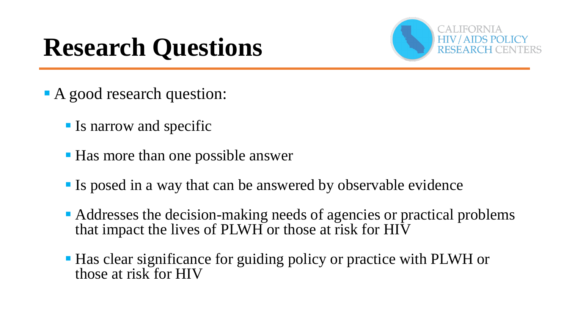## **Research Questions**



- A good research question:
	- **If Is narrow and specific**
	- Has more than one possible answer
	- If Is posed in a way that can be answered by observable evidence
	- Addresses the decision-making needs of agencies or practical problems that impact the lives of PLWH or those at risk for HIV
	- Has clear significance for guiding policy or practice with PLWH or those at risk for HIV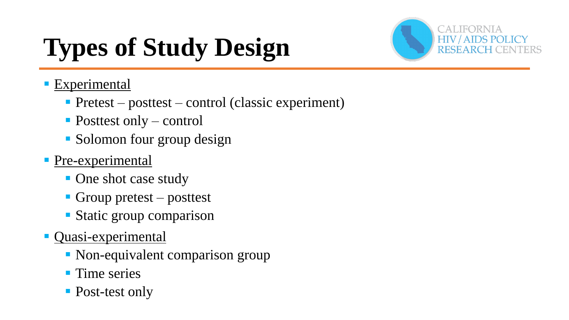# **Types of Study Design**



#### **Experimental**

- Pretest posttest control (classic experiment)
- Posttest only control
- Solomon four group design

#### **Pre-experimental**

- One shot case study
- **Group pretest** posttest
- **Static group comparison**
- **Quasi-experimental** 
	- Non-equivalent comparison group
	- **Time series**
	- Post-test only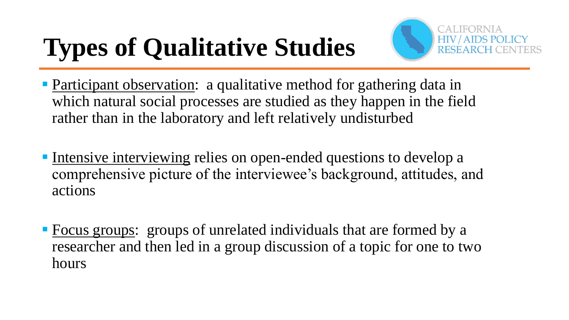# **Types of Qualitative Studies**



- **Participant observation:** a qualitative method for gathering data in which natural social processes are studied as they happen in the field rather than in the laboratory and left relatively undisturbed
- Intensive interviewing relies on open-ended questions to develop a comprehensive picture of the interviewee's background, attitudes, and actions
- **Focus groups:** groups of unrelated individuals that are formed by a researcher and then led in a group discussion of a topic for one to two hours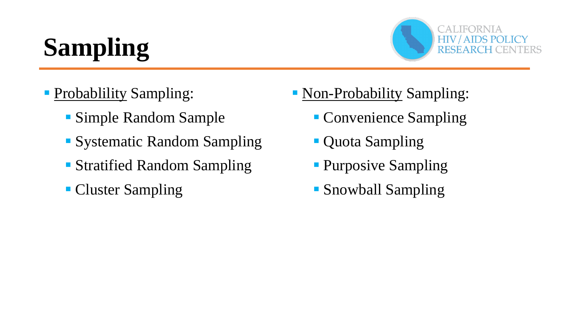# **Sampling**



- **Probablility Sampling:** 
	- Simple Random Sample
	- **Systematic Random Sampling**
	- Stratified Random Sampling
	- **Cluster Sampling**
- Non-Probability Sampling:
	- Convenience Sampling
	- **Quota Sampling**
	- **Purposive Sampling**
	- **Snowball Sampling**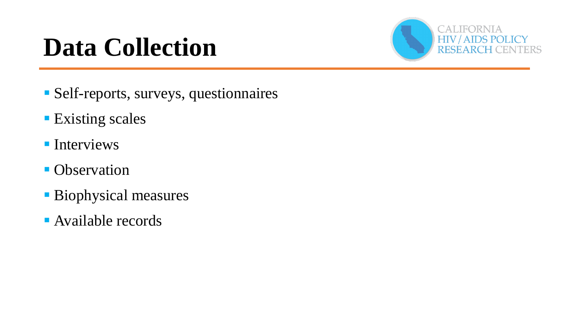# **Data Collection**



- Self-reports, surveys, questionnaires
- **Existing scales**
- **Interviews**
- Observation
- Biophysical measures
- **Available records**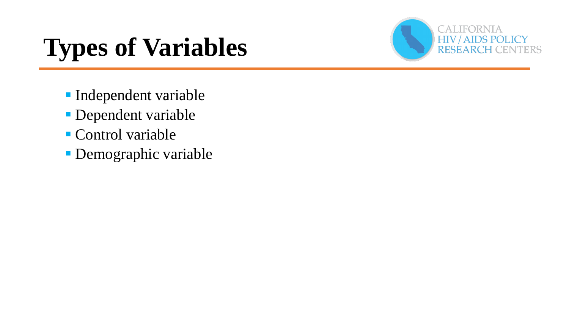# **Types of Variables**



- **Independent variable**
- **Dependent variable**
- Control variable
- **Demographic variable**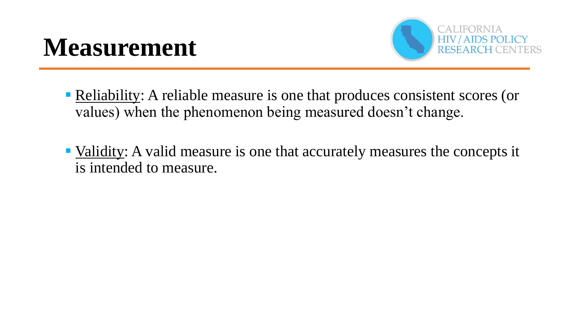### **Measurement**



- **Reliability:** A reliable measure is one that produces consistent scores (or values) when the phenomenon being measured doesn't change.
- Validity: A valid measure is one that accurately measures the concepts it is intended to measure.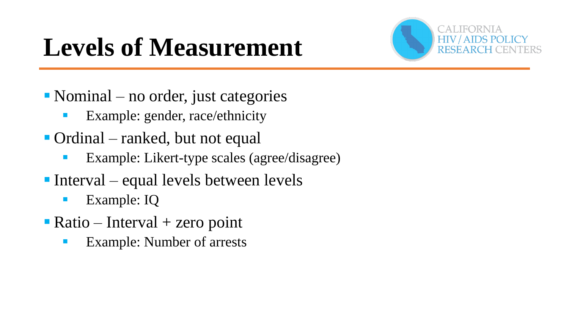



- $\blacksquare$  Nominal no order, just categories
	- **Example: gender, race/ethnicity**
- Ordinal ranked, but not equal
	- **Example:** Likert-type scales (agree/disagree)
- Interval equal levels between levels
	- **Example: IQ**
- $\blacksquare$  Ratio Interval + zero point
	- **Example: Number of arrests**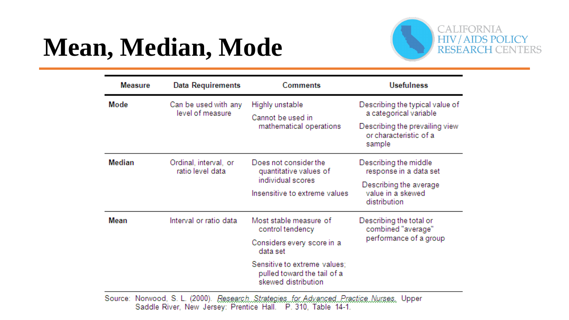## **Mean, Median, Mode**



| <b>Measure</b> | Data Requirements                         | <b>Comments</b>                                                                                       | <b>Usefulness</b>                                                                                                               |  |
|----------------|-------------------------------------------|-------------------------------------------------------------------------------------------------------|---------------------------------------------------------------------------------------------------------------------------------|--|
| Mode           | Can be used with any<br>level of measure  | Highly unstable<br>Cannot be used in<br>mathematical operations                                       | Describing the typical value of<br>a categorical variable<br>Describing the prevailing view<br>or characteristic of a<br>sample |  |
| Median         | Ordinal, interval, or<br>ratio level data | Does not consider the<br>quantitative values of<br>individual scores<br>Insensitive to extreme values | Describing the middle<br>response in a data set<br>Describing the average<br>value in a skewed<br>distribution                  |  |
| Mean           | Interval or ratio data                    | Most stable measure of<br>control tendency<br>Considers every score in a<br>data set                  | Describing the total or<br>combined "average"<br>performance of a group                                                         |  |
|                |                                           | Sensitive to extreme values;<br>pulled toward the tail of a<br>skewed distribution                    |                                                                                                                                 |  |

Source: Norwood, S. L. (2000). Research. Strategies. for Advanced. Practice. Nurses. Upper Saddle River, New Jersey: Prentice Hall. P. 310, Table 14-1.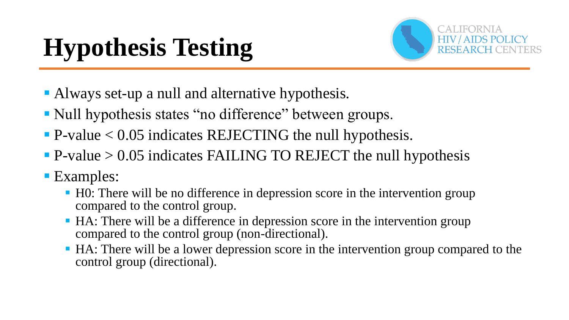# **Hypothesis Testing**



- Always set-up a null and alternative hypothesis.
- Null hypothesis states "no difference" between groups.
- $\blacksquare$  P-value < 0.05 indicates REJECTING the null hypothesis.
- $\blacksquare$  P-value > 0.05 indicates FAILING TO REJECT the null hypothesis
- **Examples:** 
	- H0: There will be no difference in depression score in the intervention group compared to the control group.
	- HA: There will be a difference in depression score in the intervention group compared to the control group (non-directional).
	- HA: There will be a lower depression score in the intervention group compared to the control group (directional).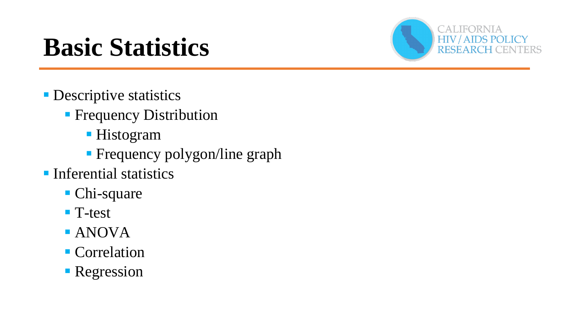## **Basic Statistics**



- **Descriptive statistics** 
	- **Frequency Distribution** 
		- Histogram
		- **Frequency polygon/line graph**
- **Inferential statistics** 
	- Chi-square
	- T-test
	- ANOVA
	- **Correlation**
	- **Regression**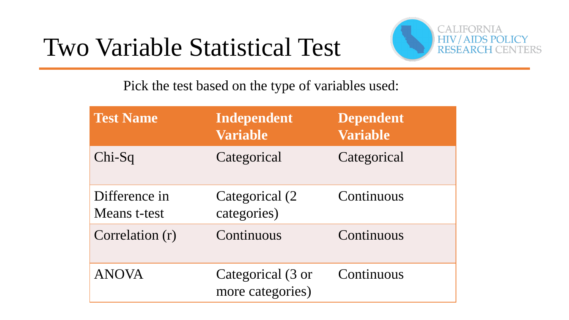### Two Variable Statistical Test



Pick the test based on the type of variables used:

| <b>Test Name</b>              | Independent<br><b>Variable</b>        | <b>Dependent</b><br><b>Variable</b> |
|-------------------------------|---------------------------------------|-------------------------------------|
| Chi-Sq                        | Categorical                           | Categorical                         |
| Difference in<br>Means t-test | Categorical (2)<br>categories)        | Continuous                          |
| Correlation (r)               | Continuous                            | Continuous                          |
| <b>ANOVA</b>                  | Categorical (3 or<br>more categories) | Continuous                          |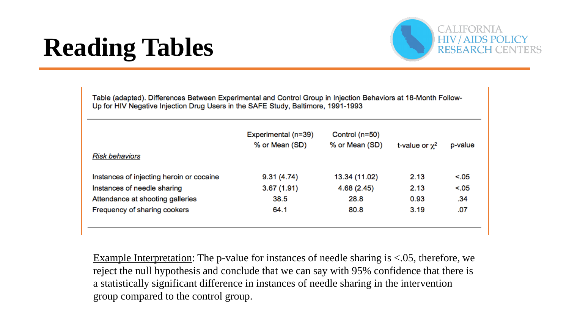# **Reading Tables**



Table (adapted). Differences Between Experimental and Control Group in Injection Behaviors at 18-Month Follow-Up for HIV Negative Injection Drug Users in the SAFE Study, Baltimore, 1991-1993

| <b>Risk behaviors</b>                    | Experimental (n=39)<br>% or Mean (SD) | Control $(n=50)$<br>% or Mean (SD) | t-value or $\chi^2$ | p-value |
|------------------------------------------|---------------------------------------|------------------------------------|---------------------|---------|
| Instances of injecting heroin or cocaine | 9.31(4.74)                            | 13.34 (11.02)                      | 2.13                | < 0.05  |
| Instances of needle sharing              | 3.67(1.91)                            | 4.68(2.45)                         | 2.13                | < 0.05  |
| Attendance at shooting galleries         | 38.5                                  | 28.8                               | 0.93                | .34     |
| Frequency of sharing cookers             | 64.1                                  | 80.8                               | 3.19                | .07     |
|                                          |                                       |                                    |                     |         |

Example Interpretation: The p-value for instances of needle sharing is <.05, therefore, we reject the null hypothesis and conclude that we can say with 95% confidence that there is a statistically significant difference in instances of needle sharing in the intervention group compared to the control group.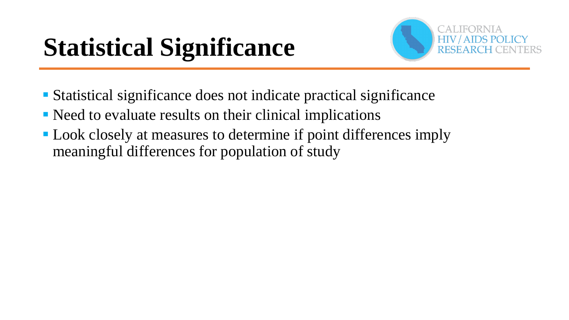# **Statistical Significance**



- Statistical significance does not indicate practical significance
- Need to evaluate results on their clinical implications
- **Look closely at measures to determine if point differences imply** meaningful differences for population of study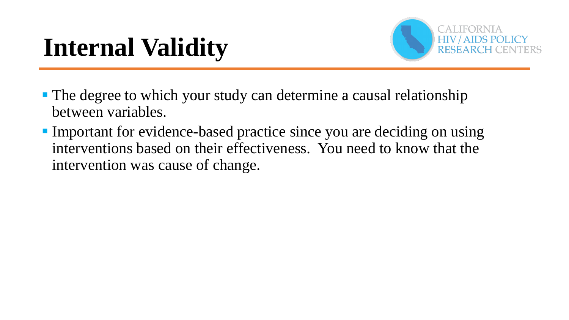# **Internal Validity**



- The degree to which your study can determine a causal relationship between variables.
- Important for evidence-based practice since you are deciding on using interventions based on their effectiveness. You need to know that the intervention was cause of change.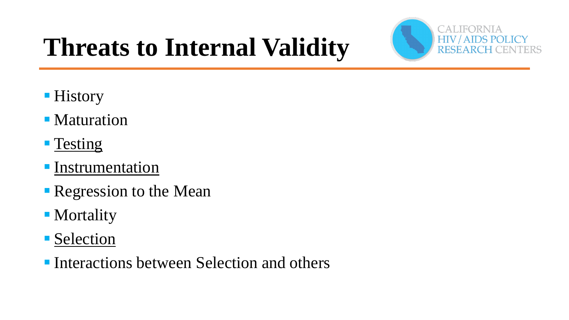

# **Threats to Internal Validity**

- **History**
- Maturation
- **Testing**
- **Instrumentation**
- **Regression to the Mean**
- **Mortality**
- **Selection**
- **Interactions between Selection and others**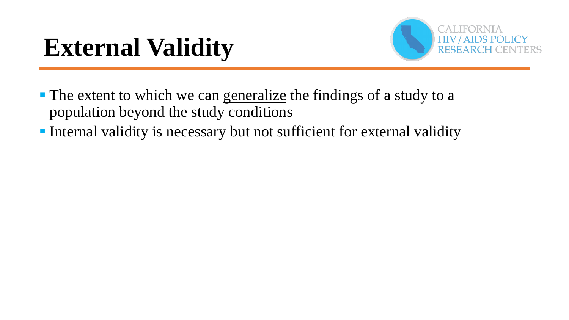## **External Validity**



- The extent to which we can generalize the findings of a study to a population beyond the study conditions
- Internal validity is necessary but not sufficient for external validity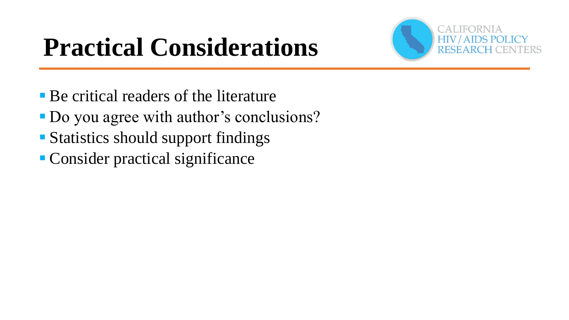# **Practical Considerations**



- **Be critical readers of the literature**
- Do you agree with author's conclusions?
- Statistics should support findings
- Consider practical significance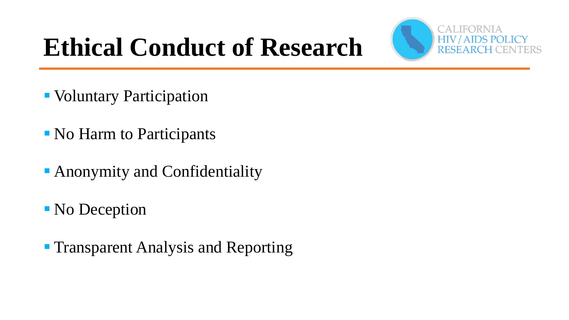



- Voluntary Participation
- No Harm to Participants
- **Anonymity and Confidentiality**
- No Deception
- **Transparent Analysis and Reporting**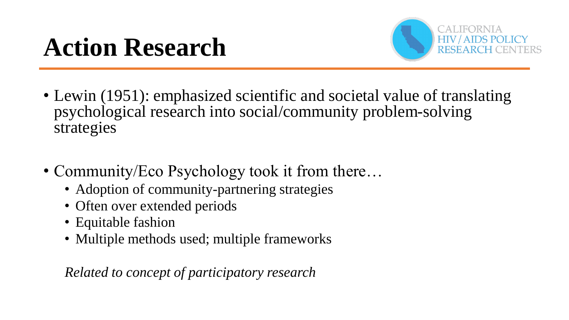

- Lewin (1951): emphasized scientific and societal value of translating psychological research into social/community problem-solving strategies
- Community/Eco Psychology took it from there...
	- Adoption of community-partnering strategies
	- Often over extended periods
	- Equitable fashion
	- Multiple methods used; multiple frameworks

*Related to concept of participatory research*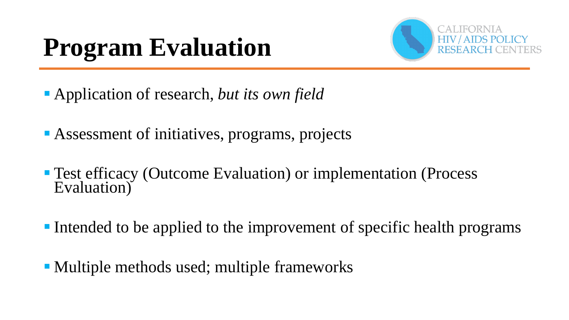# **Program Evaluation**



- Application of research, *but its own field*
- Assessment of initiatives, programs, projects
- Test efficacy (Outcome Evaluation) or implementation (Process Evaluation)
- Intended to be applied to the improvement of specific health programs
- Multiple methods used; multiple frameworks